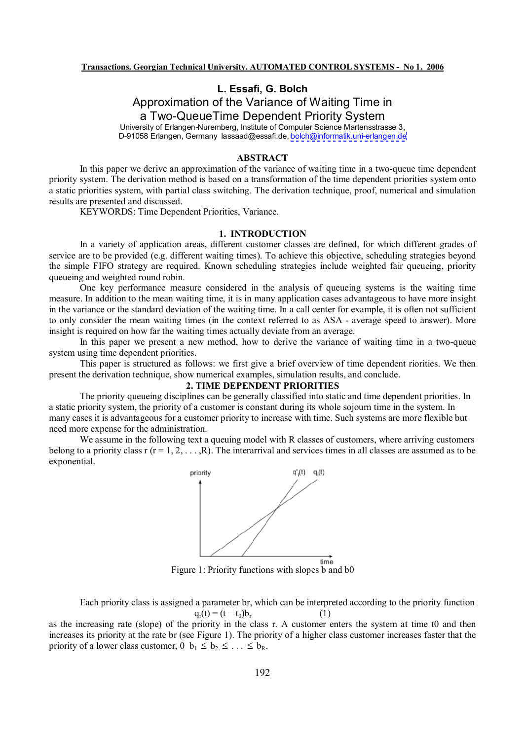## **L. Essa, G. Bolch**

Approximation of the Variance of Waiting Time in a Two-QueueTime Dependent Priority System University of Erlangen-Nuremberg, Institute of Computer Science Martensstrasse 3,

D-91058 Erlangen, Germany lassaad@essafi.de, [bolch@informatik.uni-erlangen.de](mailto:bolch@informatik.uni-erlangen.de)

#### **ABSTRACT**

In this paper we derive an approximation of the variance of waiting time in a two-queue time dependent priority system. The derivation method is based on a transformation of the time dependent priorities system onto a static priorities system, with partial class switching. The derivation technique, proof, numerical and simulation results are presented and discussed.

KEYWORDS: Time Dependent Priorities, Variance.

## **1. INTRODUCTION**

In a variety of application areas, different customer classes are defined, for which different grades of service are to be provided (e.g. different waiting times). To achieve this objective, scheduling strategies beyond the simple FIFO strategy are required. Known scheduling strategies include weighted fair queueing, priority queueing and weighted round robin.

One key performance measure considered in the analysis of queueing systems is the waiting time measure. In addition to the mean waiting time, it is in many application cases advantageous to have more insight in the variance or the standard deviation of the waiting time. In a call center for example, it is often not sufficient to only consider the mean waiting times (in the context referred to as ASA - average speed to answer). More insight is required on how far the waiting times actually deviate from an average.

In this paper we present a new method, how to derive the variance of waiting time in a two-queue system using time dependent priorities.

This paper is structured as follows: we first give a brief overview of time dependent riorities. We then present the derivation technique, show numerical examples, simulation results, and conclude.

### **2. TIME DEPENDENT PRIORITIES**

The priority queueing disciplines can be generally classified into static and time dependent priorities. In a static priority system, the priority of a customer is constant during its whole sojourn time in the system. In many cases it is advantageous for a customer priority to increase with time. Such systems are more flexible but need more expense for the administration.

We assume in the following text a queuing model with R classes of customers, where arriving customers belong to a priority class r  $(r = 1, 2, \ldots, R)$ . The interarrival and services times in all classes are assumed as to be exponential.



Figure 1: Priority functions with slopes b and b0

Each priority class is assigned a parameter br, which can be interpreted according to the priority function  $q_r(t) = (t - t_0)b_r$ (1)

as the increasing rate (slope) of the priority in the class r. A customer enters the system at time t0 and then increases its priority at the rate br (see Figure 1). The priority of a higher class customer increases faster that the priority of a lower class customer,  $0 \; b_1 \leq b_2 \leq \ldots \leq b_R$ .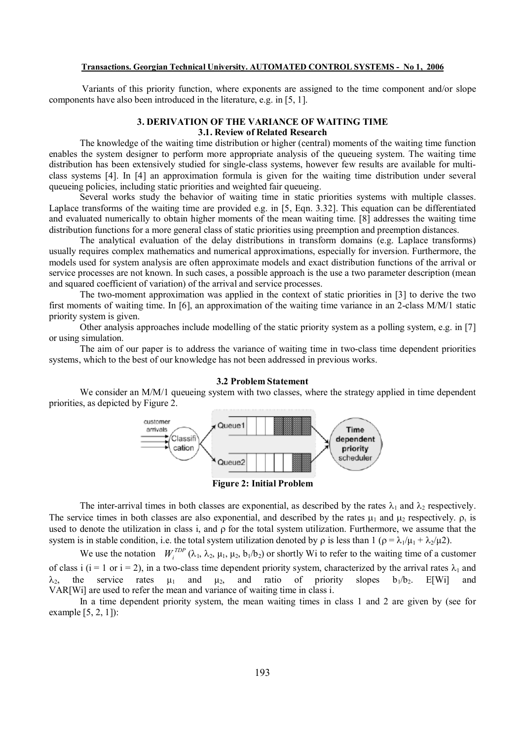#### **Transactions. Georgian Technical University. AUTOMATED CONTROL SYSTEMS - No 1, 2006**

Variants of this priority function, where exponents are assigned to the time component and/or slope components have also been introduced in the literature, e.g. in [5, 1].

### **3. DERIVATION OF THE VARIANCE OF WAITING TIME 3.1. Review of Related Research**

The knowledge of the waiting time distribution or higher (central) moments of the waiting time function enables the system designer to perform more appropriate analysis of the queueing system. The waiting time distribution has been extensively studied for single-class systems, however few results are available for multiclass systems [4]. In [4] an approximation formula is given for the waiting time distribution under several queueing policies, including static priorities and weighted fair queueing.

Several works study the behavior of waiting time in static priorities systems with multiple classes. Laplace transforms of the waiting time are provided e.g. in [5, Eqn. 3.32]. This equation can be differentiated and evaluated numerically to obtain higher moments of the mean waiting time. [8] addresses the waiting time distribution functions for a more general class of static priorities using preemption and preemption distances.

The analytical evaluation of the delay distributions in transform domains (e.g. Laplace transforms) usually requires complex mathematics and numerical approximations, especially for inversion. Furthermore, the models used for system analysis are often approximate models and exact distribution functions of the arrival or service processes are not known. In such cases, a possible approach is the use a two parameter description (mean and squared coefficient of variation) of the arrival and service processes.

The two-moment approximation was applied in the context of static priorities in [3] to derive the two first moments of waiting time. In [6], an approximation of the waiting time variance in an 2-class M/M/1 static priority system is given.

Other analysis approaches include modelling of the static priority system as a polling system, e.g. in [7] or using simulation.

The aim of our paper is to address the variance of waiting time in two-class time dependent priorities systems, which to the best of our knowledge has not been addressed in previous works.

#### **3.2 Problem Statement**

We consider an M/M/1 queueing system with two classes, where the strategy applied in time dependent priorities, as depicted by Figure 2.



**Figure 2: Initial Problem** 

The inter-arrival times in both classes are exponential, as described by the rates  $\lambda_1$  and  $\lambda_2$  respectively. The service times in both classes are also exponential, and described by the rates  $\mu_1$  and  $\mu_2$  respectively.  $\rho_1$  is used to denote the utilization in class i, and  $\rho$  for the total system utilization. Furthermore, we assume that the system is in stable condition, i.e. the total system utilization denoted by  $\rho$  is less than  $1 (\rho = \lambda_1/\mu_1 + \lambda_2/\mu_2)$ .

We use the notation  $W_i^{TDP}(\lambda_1, \lambda_2, \mu_1, \mu_2, b_1/b_2)$  or shortly Wi to refer to the waiting time of a customer of class i (i = 1 or i = 2), in a two-class time dependent priority system, characterized by the arrival rates  $\lambda_1$  and  $\lambda_2$ , the service rates  $\mu_1$  and  $\mu_2$ , and ratio of priority slopes  $b_1/b_2$ . E[Wi] and VAR[Wi] are used to refer the mean and variance of waiting time in class i.

In a time dependent priority system, the mean waiting times in class 1 and 2 are given by (see for example  $[5, 2, 1]$ :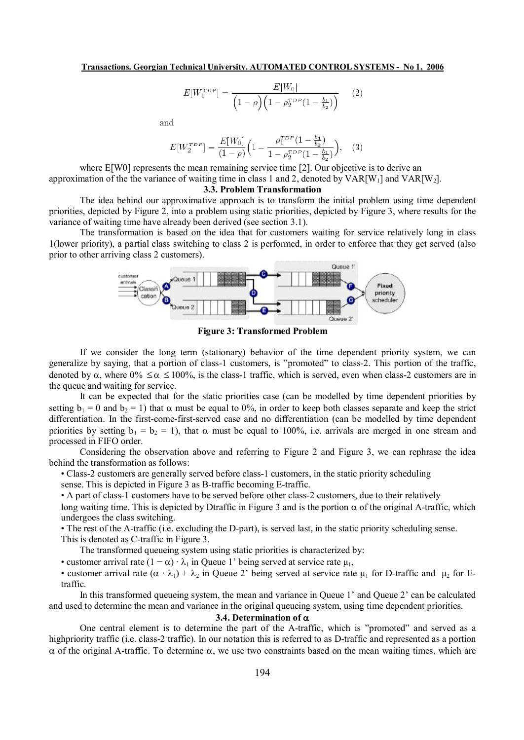$$
E[W_1^{TDP}] = \frac{E[W_0]}{\left(1 - \rho\right)\left(1 - \rho_2^{TDP}\left(1 - \frac{b_1}{b_2}\right)\right)}\tag{2}
$$

and

$$
E[W_2^{TDP}] = \frac{E[W_0]}{(1-\rho)} \Big( 1 - \frac{\rho_1^{TDP} (1 - \frac{b_1}{b_2})}{1 - \rho_2^{TDP} (1 - \frac{b_1}{b_2})} \Big), \quad (3)
$$

where E[W0] represents the mean remaining service time [2]. Our objective is to derive an approximation of the the variance of waiting time in class 1 and 2, denoted by  $VAR[W_1]$  and  $VAR[W_2]$ .

#### **3.3. Problem Transformation**

The idea behind our approximative approach is to transform the initial problem using time dependent priorities, depicted by Figure 2, into a problem using static priorities, depicted by Figure 3, where results for the variance of waiting time have already been derived (see section 3.1).

The transformation is based on the idea that for customers waiting for service relatively long in class 1(lower priority), a partial class switching to class 2 is performed, in order to enforce that they get served (also prior to other arriving class 2 customers).



**Figure 3: Transformed Problem** 

If we consider the long term (stationary) behavior of the time dependent priority system, we can generalize by saying, that a portion of class-1 customers, is "promoted" to class-2. This portion of the traffic, denoted by  $\alpha$ , where  $0\% \leq \alpha \leq 100\%$ , is the class-1 traffic, which is served, even when class-2 customers are in the queue and waiting for service.

It can be expected that for the static priorities case (can be modelled by time dependent priorities by setting  $b_1 = 0$  and  $b_2 = 1$ ) that  $\alpha$  must be equal to 0%, in order to keep both classes separate and keep the strict differentiation. In the first-come-first-served case and no differentiation (can be modelled by time dependent priorities by setting  $b_1 = b_2 = 1$ , that  $\alpha$  must be equal to 100%, i.e. arrivals are merged in one stream and processed in FIFO order.

Considering the observation above and referring to Figure 2 and Figure 3, we can rephrase the idea behind the transformation as follows:

• Class-2 customers are generally served before class-1 customers, in the static priority scheduling

sense. This is depicted in Figure 3 as B-traffic becoming E-traffic.

• A part of class-1 customers have to be served before other class-2 customers, due to their relatively

long waiting time. This is depicted by Dtraffic in Figure 3 and is the portion  $\alpha$  of the original A-traffic, which undergoes the class switching.

• The rest of the A-traffic (i.e. excluding the D-part), is served last, in the static priority scheduling sense.

This is denoted as C-traffic in Figure 3.

The transformed queueing system using static priorities is characterized by:

• customer arrival rate  $(1 - \alpha) \cdot \lambda_1$  in Queue 1' being served at service rate  $\mu_1$ ,

• customer arrival rate  $(\alpha \cdot \lambda_1) + \lambda_2$  in Queue 2' being served at service rate  $\mu_1$  for D-traffic and  $\mu_2$  for Etraffic.

In this transformed queueing system, the mean and variance in Queue 1' and Queue 2' can be calculated and used to determine the mean and variance in the original queueing system, using time dependent priorities.

#### **3.4.** Determination of  $\alpha$

One central element is to determine the part of the A-traffic, which is "promoted" and served as a highpriority traffic (i.e. class-2 traffic). In our notation this is referred to as D-traffic and represented as a portion  $\alpha$  of the original A-traffic. To determine  $\alpha$ , we use two constraints based on the mean waiting times, which are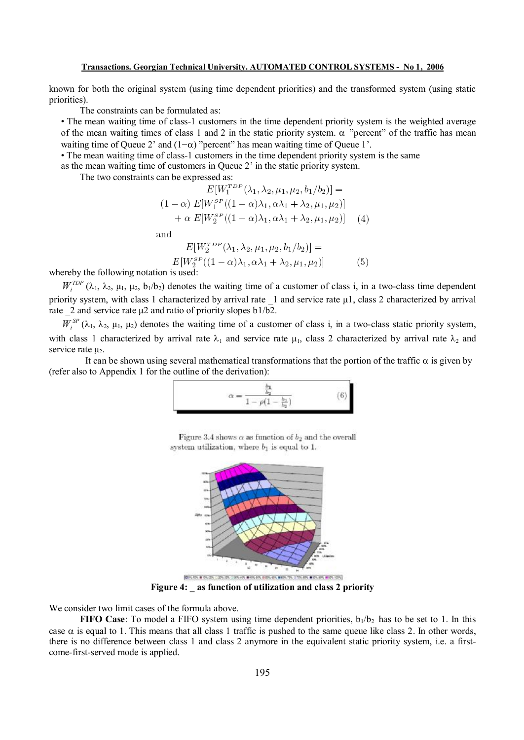#### **Transactions. Georgian Technical University. AUTOMATED CONTROL SYSTEMS - No 1, 2006**

known for both the original system (using time dependent priorities) and the transformed system (using static priorities).

The constraints can be formulated as:

• The mean waiting time of class-1 customers in the time dependent priority system is the weighted average of the mean waiting times of class 1 and 2 in the static priority system.  $\alpha$  "percent" of the traffic has mean waiting time of Queue 2' and  $(1-\alpha)$  "percent" has mean waiting time of Queue 1'.

• The mean waiting time of class-1 customers in the time dependent priority system is the same

as the mean waiting time of customers in Queue 2' in the static priority system.

The two constraints can be expressed as:

$$
E[W_1^{TDP}(\lambda_1, \lambda_2, \mu_1, \mu_2, b_1/b_2)] =
$$
  
(1 - \alpha)  $E[W_1^{SP}((1 - \alpha)\lambda_1, \alpha\lambda_1 + \lambda_2, \mu_1, \mu_2)] + \alpha E[W_2^{SP}((1 - \alpha)\lambda_1, \alpha\lambda_1 + \lambda_2, \mu_1, \mu_2)]$  (4)

and

$$
E[W_2^{TDP}(\lambda_1, \lambda_2, \mu_1, \mu_2, b_1/b_2)] =
$$
  
\n
$$
E[W_2^{SP}((1-\alpha)\lambda_1, \alpha\lambda_1 + \lambda_2, \mu_1, \mu_2)]
$$
 (5)

whereby the following notation is used:

 $W_i^{TDP}$  ( $\lambda_1$ ,  $\lambda_2$ ,  $\mu_1$ ,  $\mu_2$ ,  $b_1/b_2$ ) denotes the waiting time of a customer of class i, in a two-class time dependent priority system, with class 1 characterized by arrival rate \_1 and service rate μ1, class 2 characterized by arrival rate  $2$  and service rate  $\mu$ 2 and ratio of priority slopes b1/b2.

 $W_i^{SP}(\lambda_1, \lambda_2, \mu_1, \mu_2)$  denotes the waiting time of a customer of class i, in a two-class static priority system, with class 1 characterized by arrival rate  $\lambda_1$  and service rate  $\mu_1$ , class 2 characterized by arrival rate  $\lambda_2$  and service rate  $\mu_2$ .

It can be shown using several mathematical transformations that the portion of the traffic  $\alpha$  is given by (refer also to Appendix 1 for the outline of the derivation):

$$
\alpha = \frac{\frac{b_1}{b_2}}{1 - \rho(1 - \frac{b_1}{b_2})} \tag{6}
$$

Figure 3.4 shows  $\alpha$  as function of  $b_2$  and the overall system utilization, where  $b_1$  is equal to 1.



**Figure 4: \_ as function of utilization and class 2 priority** 

We consider two limit cases of the formula above.

**FIFO** Case: To model a FIFO system using time dependent priorities,  $b_1/b_2$  has to be set to 1. In this case  $\alpha$  is equal to 1. This means that all class 1 traffic is pushed to the same queue like class 2. In other words, there is no difference between class 1 and class 2 anymore in the equivalent static priority system, i.e. a firstcome-first-served mode is applied.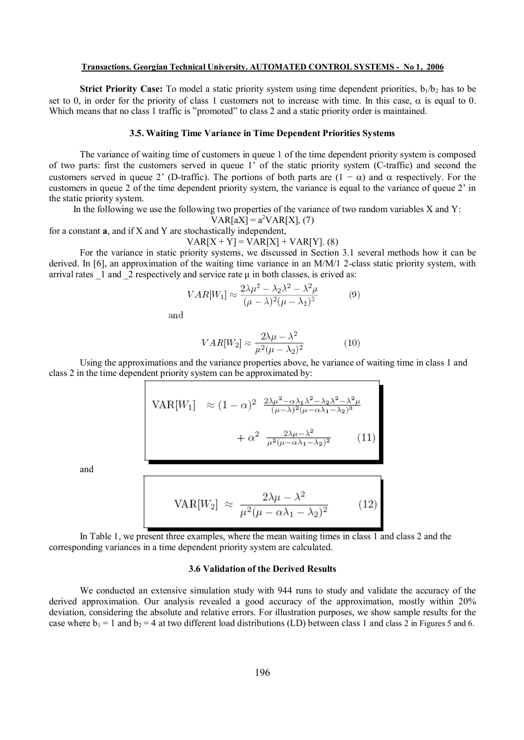#### **Transactions. Georgian Technical University. AUTOMATED CONTROL SYSTEMS - No 1, 2006**

**Strict Priority Case:** To model a static priority system using time dependent priorities,  $b_1/b_2$  has to be set to 0, in order for the priority of class 1 customers not to increase with time. In this case,  $\alpha$  is equal to 0. Which means that no class 1 traffic is "promoted" to class 2 and a static priority order is maintained.

#### **3.5. Waiting Time Variance in Time Dependent Priorities Systems**

The variance of waiting time of customers in queue 1 of the time dependent priority system is composed of two parts: first the customers served in queue 1' of the static priority system (C-traffic) and second the customers served in queue 2' (D-traffic). The portions of both parts are  $(1 - \alpha)$  and  $\alpha$  respectively. For the customers in queue 2 of the time dependent priority system, the variance is equal to the variance of queue 2' in the static priority system.

In the following we use the following two properties of the variance of two random variables X and Y:

$$
VAR[aX] = a^2VAR[X], (7)
$$

for a constant **a**, and if X and Y are stochastically independent,

$$
VAR[X + Y] = VAR[X] + VAR[Y]. (8)
$$

For the variance in static priority systems, we discussed in Section 3.1 several methods how it can be derived. In [6], an approximation of the waiting time variance in an M/M/1 2-class static priority system, with arrival rates  $\frac{1}{2}$  and  $\frac{2}{2}$  respectively and service rate  $\mu$  in both classes, is erived as:

$$
VAR[W_1] \approx \frac{2\lambda\mu^2 - \lambda_2\lambda^2 - \lambda^2\mu}{(\mu - \lambda)^2(\mu - \lambda_2)^3}
$$
(9)

and

$$
VAR[W_2] \approx \frac{2\lambda\mu - \lambda^2}{\mu^2(\mu - \lambda_2)^2}
$$
 (10)

Using the approximations and the variance properties above, he variance of waiting time in class 1 and class 2 in the time dependent priority system can be approximated by:

$$
VAR[W_1] \approx (1 - \alpha)^2 \frac{2\lambda\mu^2 - \alpha\lambda_1\lambda^2 - \lambda_2\lambda^2 - \lambda^2\mu}{(\mu - \lambda)^2(\mu - \alpha\lambda_1 - \lambda_2)^3} + \alpha^2 \frac{2\lambda\mu - \lambda^2}{\mu^2(\mu - \alpha\lambda_1 - \lambda_2)^2}
$$
 (11)

and

$$
VAR[W_2] \approx \frac{2\lambda\mu - \lambda^2}{\mu^2(\mu - \alpha\lambda_1 - \lambda_2)^2}
$$
 (12)

In Table 1, we present three examples, where the mean waiting times in class 1 and class 2 and the corresponding variances in a time dependent priority system are calculated.

## **3.6 Validation of the Derived Results**

We conducted an extensive simulation study with 944 runs to study and validate the accuracy of the derived approximation. Our analysis revealed a good accuracy of the approximation, mostly within 20% deviation, considering the absolute and relative errors. For illustration purposes, we show sample results for the case where  $b_1 = 1$  and  $b_2 = 4$  at two different load distributions (LD) between class 1 and class 2 in Figures 5 and 6.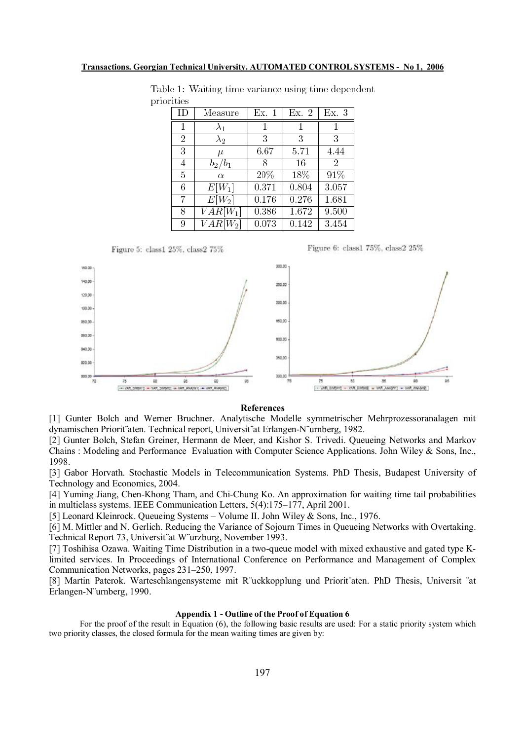| ID             | Measure     | Ex. 1 | Ex. 2 | Ex. 3          |
|----------------|-------------|-------|-------|----------------|
| 1              | $\lambda_1$ |       |       |                |
| $\overline{2}$ | $\lambda_2$ | 3     | 3     | 3              |
| 3              | $\mu$       | 6.67  | 5.71  | 4.44           |
| 4              | $b_2/b_1$   | 8     | 16    | $\overline{2}$ |
| 5              | $\alpha$    | 20%   | 18%   | 91%            |
| 6              | $E[W_1]$    | 0.371 | 0.804 | 3.057          |
| 7              | $E[W_2]$    | 0.176 | 0.276 | 1.681          |
| 8              | $VAR[W_1]$  | 0.386 | 1.672 | 9.500          |
| 9              | $VAR[W_2]$  | 0.073 | 0.142 | 3.454          |

Table 1: Waiting time variance using time dependent priorities



Figure 6: class1 75%, class2 25%



#### **References**

[1] Gunter Bolch and Werner Bruchner. Analytische Modelle symmetrischer Mehrprozessoranalagen mit dynamischen Priorit¨aten. Technical report, Universit¨at Erlangen-N¨urnberg, 1982.

[2] Gunter Bolch, Stefan Greiner, Hermann de Meer, and Kishor S. Trivedi. Queueing Networks and Markov Chains : Modeling and Performance Evaluation with Computer Science Applications. John Wiley & Sons, Inc., 1998.

[3] Gabor Horvath. Stochastic Models in Telecommunication Systems. PhD Thesis, Budapest University of Technology and Economics, 2004.

[4] Yuming Jiang, Chen-Khong Tham, and Chi-Chung Ko. An approximation for waiting time tail probabilities in multiclass systems. IEEE Communication Letters, 5(4):175–177, April 2001.

[5] Leonard Kleinrock. Queueing Systems – Volume II. John Wiley & Sons, Inc., 1976.

[6] M. Mittler and N. Gerlich. Reducing the Variance of Sojourn Times in Queueing Networks with Overtaking. Technical Report 73, Universit¨at W¨urzburg, November 1993.

[7] Toshihisa Ozawa. Waiting Time Distribution in a two-queue model with mixed exhaustive and gated type Klimited services. In Proceedings of International Conference on Performance and Management of Complex Communication Networks, pages 231–250, 1997.

[8] Martin Paterok. Warteschlangensysteme mit R¨uckkopplung und Priorit¨aten. PhD Thesis, Universit ¨at Erlangen-N¨urnberg, 1990.

#### **Appendix 1 - Outline of the Proof of Equation 6**

For the proof of the result in Equation (6), the following basic results are used: For a static priority system which two priority classes, the closed formula for the mean waiting times are given by: